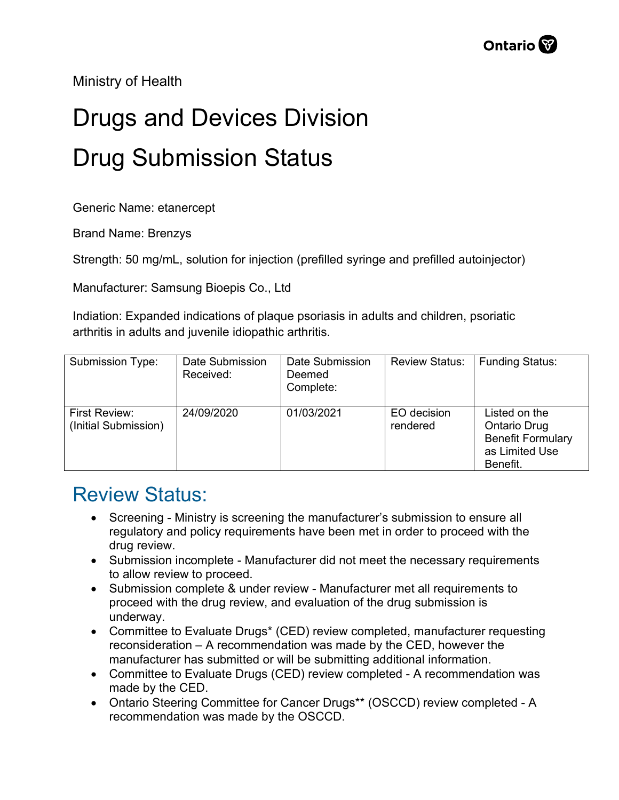Ministry of Health

## Drugs and Devices Division Drug Submission Status

Generic Name: etanercept

Brand Name: Brenzys

Strength: 50 mg/mL, solution for injection (prefilled syringe and prefilled autoinjector)

Manufacturer: Samsung Bioepis Co., Ltd

Indiation: Expanded indications of plaque psoriasis in adults and children, psoriatic arthritis in adults and juvenile idiopathic arthritis.

| Submission Type:                      | Date Submission<br>Received: | Date Submission<br>Deemed<br>Complete: | <b>Review Status:</b>   | <b>Funding Status:</b>                                                                  |
|---------------------------------------|------------------------------|----------------------------------------|-------------------------|-----------------------------------------------------------------------------------------|
| First Review:<br>(Initial Submission) | 24/09/2020                   | 01/03/2021                             | EO decision<br>rendered | Listed on the<br>Ontario Drug<br><b>Benefit Formulary</b><br>as Limited Use<br>Benefit. |

## Review Status:

- Screening Ministry is screening the manufacturer's submission to ensure all regulatory and policy requirements have been met in order to proceed with the drug review.
- Submission incomplete Manufacturer did not meet the necessary requirements to allow review to proceed.
- Submission complete & under review Manufacturer met all requirements to proceed with the drug review, and evaluation of the drug submission is underway.
- Committee to Evaluate Drugs\* (CED) review completed, manufacturer requesting reconsideration – A recommendation was made by the CED, however the manufacturer has submitted or will be submitting additional information.
- Committee to Evaluate Drugs (CED) review completed A recommendation was made by the CED.
- Ontario Steering Committee for Cancer Drugs\*\* (OSCCD) review completed A recommendation was made by the OSCCD.